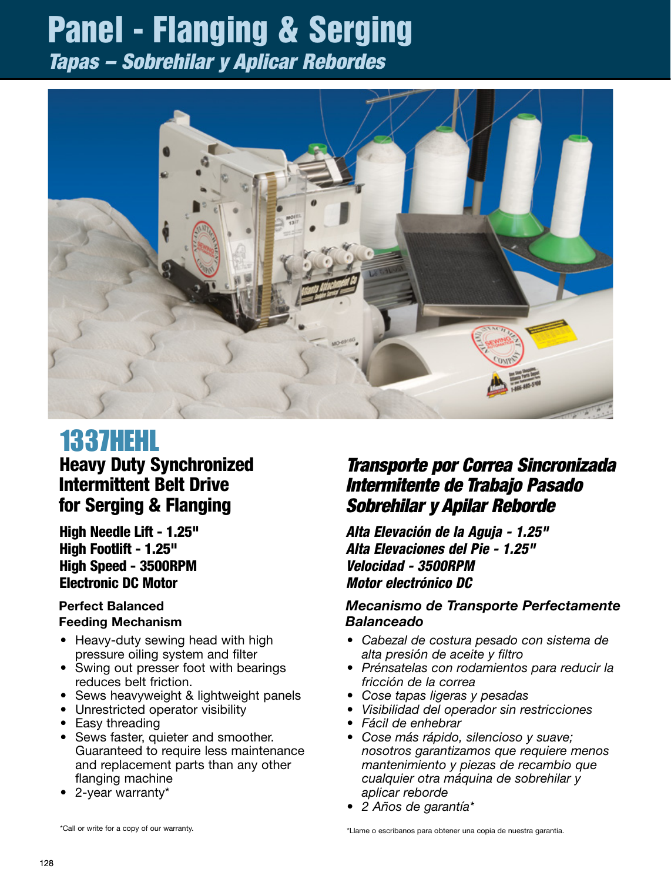# Panel - Flanging & Serging

*Tapas – Sobrehilar y Aplicar Rebordes*



# 1337HEHL

# Heavy Duty Synchronized Intermittent Belt Drive for Serging & Flanging

High Needle Lift - 1.25" High Footlift - 1.25" High Speed - 3500RPM Electronic DC Motor

#### Perfect Balanced Feeding Mechanism

- Heavy-duty sewing head with high pressure oiling system and filter
- Swing out presser foot with bearings reduces belt friction.
- Sews heavyweight & lightweight panels
- Unrestricted operator visibility
- Easy threading
- Sews faster, quieter and smoother. Guaranteed to require less maintenance and replacement parts than any other flanging machine
- 2-year warranty\*

*Transporte por Correa Sincronizada Intermitente de Trabajo Pasado Sobrehilar y Apilar Reborde*

*Alta Elevación de la Aguja - 1.25" Alta Elevaciones del Pie - 1.25" Velocidad - 3500RPM Motor electrónico DC*

#### *Mecanismo de Transporte Perfectamente Balanceado*

- • Cabezal de costura pesado con sistema de *alta presión de aceite y filtro*
- • Prénsatelas con rodamientos para reducir la *fricción de la correa*
- • Cose tapas ligeras y pesadas
- • Visibilidad del operador sin restricciones
- • Fácil de enhebrar
- Cose más rápido, silencioso y suave; *nosotros garantizamos que requiere menos mantenimiento y piezas de recambio que cualquier otra máquina de sobrehilar y aplicar reborde*
- • 2 Años de garantía\*